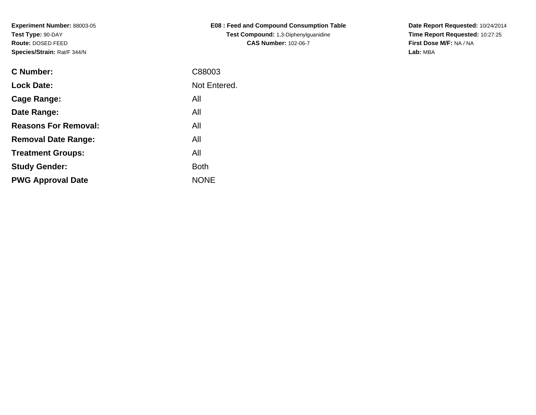| E08 : Feed and Compound Consumption Table |
|-------------------------------------------|
| Test Compound: 1,3-Diphenylguanidine      |
| <b>CAS Number: 102-06-7</b>               |

**Date Report Requested:** 10/24/2014 **Time Report Requested:** 10:27:25**First Dose M/F:** NA / NA**Lab:** MBA

| <b>C</b> Number:            | C88003       |
|-----------------------------|--------------|
| <b>Lock Date:</b>           | Not Entered. |
| Cage Range:                 | All          |
| Date Range:                 | All          |
| <b>Reasons For Removal:</b> | All          |
| <b>Removal Date Range:</b>  | All          |
| <b>Treatment Groups:</b>    | All          |
| <b>Study Gender:</b>        | <b>Both</b>  |
| <b>PWG Approval Date</b>    | <b>NONE</b>  |
|                             |              |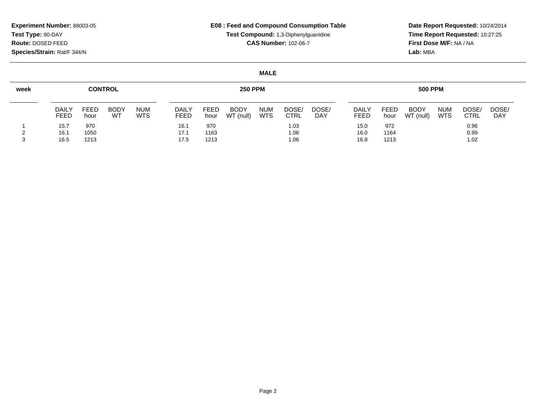#### **E08 : Feed and Compound Consumption TableTest Compound:** 1,3-Diphenylguanidine**CAS Number:** 102-06-7

**Date Report Requested:** 10/24/2014 **Time Report Requested:** 10:27:25**First Dose M/F:** NA / NA**Lab:** MBA

#### **MALE**

| week | <b>CONTROL</b> |              |            |                          |                      | <b>250 PPM</b> |                          |                          |                      |                     |                      |              | <b>500 PPM</b>              |                          |                     |                     |  |  |  |
|------|----------------|--------------|------------|--------------------------|----------------------|----------------|--------------------------|--------------------------|----------------------|---------------------|----------------------|--------------|-----------------------------|--------------------------|---------------------|---------------------|--|--|--|
|      | DAILY<br>FEED  | FEED<br>hour | BODY<br>WT | <b>NUM</b><br><b>WTS</b> | <b>DAILY</b><br>FEED | FEED<br>hour   | <b>BODY</b><br>WT (null) | <b>NUM</b><br><b>WTS</b> | DOSE/<br><b>CTRL</b> | DOSE/<br><b>DAY</b> | <b>DAILY</b><br>FEED | FEED<br>hour | <b>BODY</b><br>WT<br>(null) | <b>NUM</b><br><b>WTS</b> | DOSE<br><b>CTRL</b> | DOSE/<br><b>DAY</b> |  |  |  |
|      | 15.7           | 970          |            |                          | 16.1                 | 970            |                          |                          | 1.03                 |                     | 15.0                 | 972          |                             |                          | 0.96                |                     |  |  |  |
|      | 16.1           | 1050         |            |                          | 17.1                 | 1163           |                          |                          | 1.06                 |                     | 16.0                 | 1164         |                             |                          | 0.99                |                     |  |  |  |
|      | 16.5           | 1213         |            |                          | 17.5                 | 1213           |                          |                          | 1.06                 |                     | 16.8                 | 1213         |                             |                          | 1.02                |                     |  |  |  |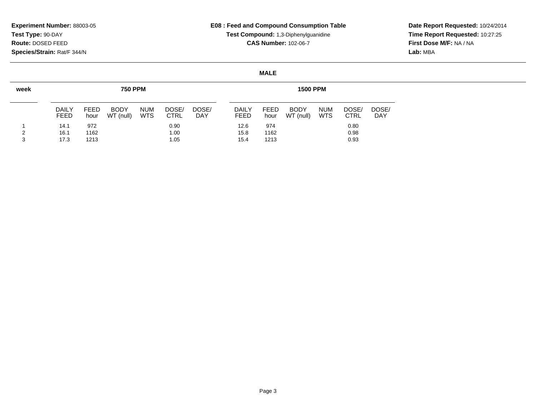# **E08 : Feed and Compound Consumption TableTest Compound:** 1,3-Diphenylguanidine**CAS Number:** 102-06-7

**Date Report Requested:** 10/24/2014 **Time Report Requested:** 10:27:25**First Dose M/F:** NA / NA**Lab:** MBA

#### **MALE**

| week | <b>750 PPM</b>              |                     |                          |                          |                      |                     |  |                             |                     |                          |                          |                      |                     |  |  |
|------|-----------------------------|---------------------|--------------------------|--------------------------|----------------------|---------------------|--|-----------------------------|---------------------|--------------------------|--------------------------|----------------------|---------------------|--|--|
|      | <b>DAILY</b><br><b>FEED</b> | <b>FEED</b><br>hour | <b>BODY</b><br>WT (null) | <b>NUM</b><br><b>WTS</b> | DOSE/<br><b>CTRL</b> | DOSE/<br><b>DAY</b> |  | <b>DAILY</b><br><b>FEED</b> | <b>FEED</b><br>hour | <b>BODY</b><br>WT (null) | <b>NUM</b><br><b>WTS</b> | DOSE/<br><b>CTRL</b> | DOSE/<br><b>DAY</b> |  |  |
| ົ    | 14.1                        | 972<br>1162         |                          |                          | 0.90                 |                     |  | 12.6<br>15.8                | 974<br>1162         |                          |                          | 0.80<br>0.98         |                     |  |  |
| 3    | 16.1<br>17.3                | 1213                | 1.00<br>1.05             |                          |                      |                     |  | 15.4                        | 1213                |                          | 0.93                     |                      |                     |  |  |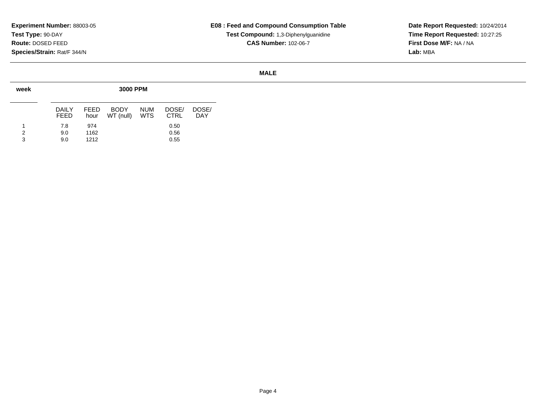# **E08 : Feed and Compound Consumption TableTest Compound:** 1,3-Diphenylguanidine**CAS Number:** 102-06-7

**Date Report Requested:** 10/24/2014 **Time Report Requested:** 10:27:25**First Dose M/F:** NA / NA**Lab:** MBA

#### **MALE**

| week        |                       | 3000 PPM            |                          |                          |                      |                     |  |  |  |  |  |  |  |
|-------------|-----------------------|---------------------|--------------------------|--------------------------|----------------------|---------------------|--|--|--|--|--|--|--|
|             | DAIL Y<br><b>FEED</b> | FEED<br>hour        | <b>BODY</b><br>WT (null) | <b>NUM</b><br><b>WTS</b> | DOSE/<br><b>CTRL</b> | DOSE/<br><b>DAY</b> |  |  |  |  |  |  |  |
| 1<br>2<br>3 | 7.8<br>9.0<br>9.0     | 974<br>1162<br>1212 |                          |                          | 0.50<br>0.56<br>0.55 |                     |  |  |  |  |  |  |  |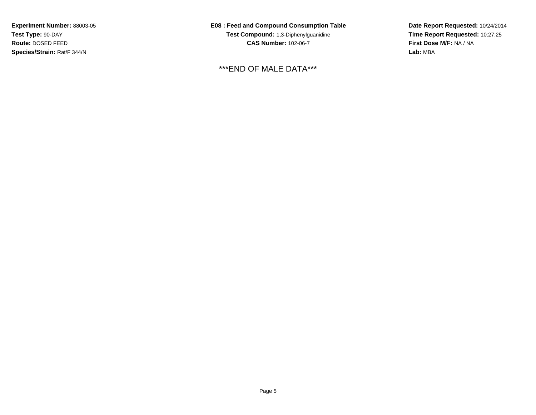**E08 : Feed and Compound Consumption TableTest Compound:** 1,3-Diphenylguanidine**CAS Number:** 102-06-7

\*\*\*END OF MALE DATA\*\*\*

**Date Report Requested:** 10/24/2014 **Time Report Requested:** 10:27:25**First Dose M/F:** NA / NA**Lab:** MBA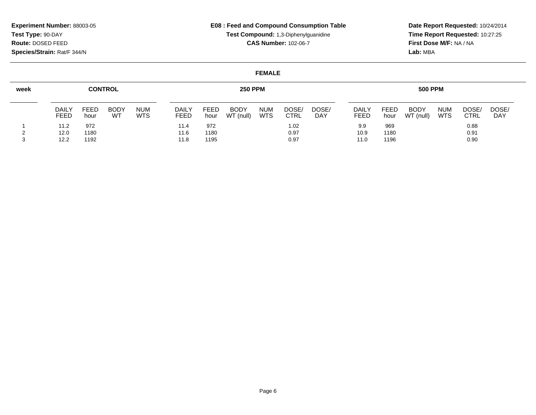#### **E08 : Feed and Compound Consumption TableTest Compound:** 1,3-Diphenylguanidine**CAS Number:** 102-06-7

**Date Report Requested:** 10/24/2014 **Time Report Requested:** 10:27:25**First Dose M/F:** NA / NA**Lab:** MBA

#### **FEMALE**

| week | <b>CONTROL</b>              |              |                   |                          |  |                      |              | <b>250 PPM</b>    |                          |                      |                     |                      |                     | <b>500 PPM</b>           |                          |                      |              |
|------|-----------------------------|--------------|-------------------|--------------------------|--|----------------------|--------------|-------------------|--------------------------|----------------------|---------------------|----------------------|---------------------|--------------------------|--------------------------|----------------------|--------------|
|      | <b>DAILY</b><br><b>FEED</b> | FEED<br>hour | <b>BODY</b><br>WT | <b>NUM</b><br><b>WTS</b> |  | DAILY<br><b>FEED</b> | FEED<br>hour | BODY<br>WT (null) | <b>NUM</b><br><b>WTS</b> | DOSE/<br><b>CTRL</b> | DOSE/<br><b>DAY</b> | <b>DAILY</b><br>FEED | <b>FEED</b><br>hour | <b>BODY</b><br>WT (null) | <b>NUM</b><br><b>WTS</b> | DOSE/<br><b>CTRL</b> | DOSE/<br>DAY |
|      | 11.2<br>12.0                | 972<br>1180  |                   |                          |  | 11.4<br>11.6         | 972<br>1180  |                   |                          | 1.02<br>0.97         |                     | 9.9<br>10.9          | 969<br>1180         |                          |                          | 0.88<br>0.91         |              |
|      | 12.2                        | 1192         |                   |                          |  | 11.8                 | 1195         |                   |                          | 0.97                 |                     | 11.0                 | 1196                |                          |                          | 0.90                 |              |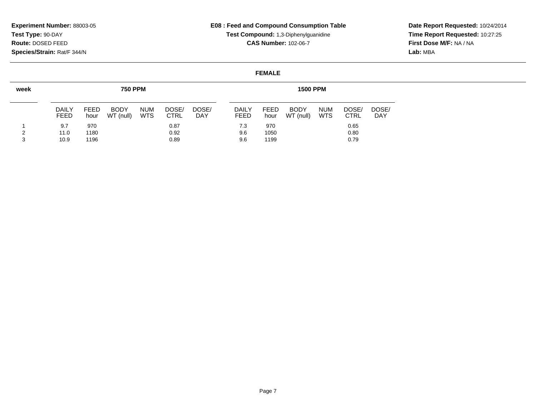# **E08 : Feed and Compound Consumption TableTest Compound:** 1,3-Diphenylguanidine**CAS Number:** 102-06-7

**Date Report Requested:** 10/24/2014 **Time Report Requested:** 10:27:25**First Dose M/F:** NA / NA**Lab:** MBA

#### **FEMALE**

| week   | <b>750 PPM</b>              |              |                          |                          |                      |                     |  |                             |                     | <b>1500 PPM</b>          |                          |                      |                     |
|--------|-----------------------------|--------------|--------------------------|--------------------------|----------------------|---------------------|--|-----------------------------|---------------------|--------------------------|--------------------------|----------------------|---------------------|
|        | <b>DAILY</b><br><b>FEED</b> | FEED<br>hour | <b>BODY</b><br>WT (null) | <b>NUM</b><br><b>WTS</b> | DOSE/<br><b>CTRL</b> | DOSE/<br><b>DAY</b> |  | <b>DAILY</b><br><b>FEED</b> | <b>FEED</b><br>hour | <b>BODY</b><br>WT (null) | <b>NUM</b><br><b>WTS</b> | DOSE/<br><b>CTRL</b> | DOSE/<br><b>DAY</b> |
|        | 9.7                         | 970          |                          |                          | 0.87                 |                     |  | 7.3                         | 970                 |                          |                          | 0.65                 |                     |
| 2<br>3 | 11.0<br>10.9                | 1180<br>1196 |                          |                          | 0.92<br>0.89         |                     |  | 9.6<br>9.6                  | 1050<br>1199        |                          |                          | 0.80<br>0.79         |                     |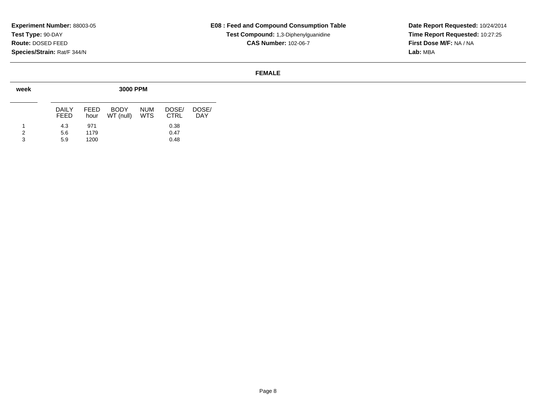#### **E08 : Feed and Compound Consumption TableTest Compound:** 1,3-Diphenylguanidine**CAS Number:** 102-06-7

**Date Report Requested:** 10/24/2014 **Time Report Requested:** 10:27:25**First Dose M/F:** NA / NA**Lab:** MBA

#### **FEMALE**

| week        | <b>3000 PPM</b>       |                     |                          |                   |                      |                     |  |  |  |  |  |  |  |
|-------------|-----------------------|---------------------|--------------------------|-------------------|----------------------|---------------------|--|--|--|--|--|--|--|
|             | DAIL Y<br><b>FEED</b> | <b>FEED</b><br>hour | <b>BODY</b><br>WT (null) | <b>NUM</b><br>WTS | DOSE/<br><b>CTRL</b> | DOSE/<br><b>DAY</b> |  |  |  |  |  |  |  |
| 1<br>2<br>3 | 4.3<br>5.6<br>5.9     | 971<br>1179<br>1200 |                          |                   | 0.38<br>0.47<br>0.48 |                     |  |  |  |  |  |  |  |